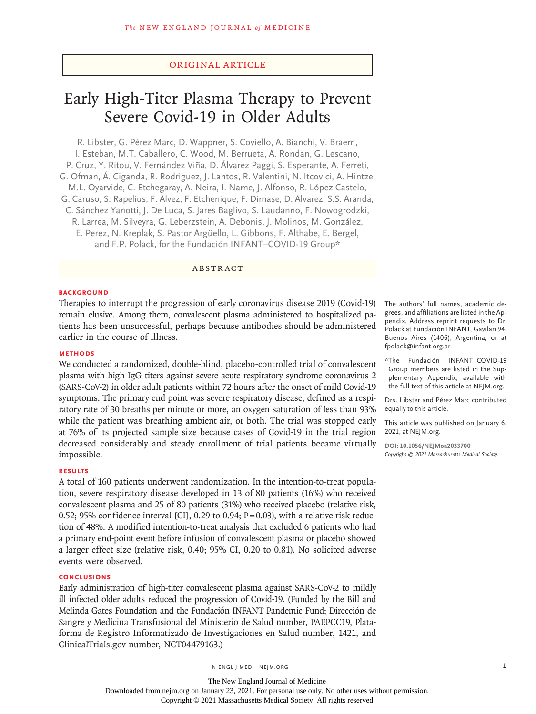# Original Article

# Early High-Titer Plasma Therapy to Prevent Severe Covid-19 in Older Adults

R. Libster, G. Pérez Marc, D. Wappner, S. Coviello, A. Bianchi, V. Braem, I. Esteban, M.T. Caballero, C. Wood, M. Berrueta, A. Rondan, G. Lescano, P. Cruz, Y. Ritou, V. Fernández Viña, D. Álvarez Paggi, S. Esperante, A. Ferreti, G. Ofman, Á. Ciganda, R. Rodriguez, J. Lantos, R. Valentini, N. Itcovici, A. Hintze, M.L. Oyarvide, C. Etchegaray, A. Neira, I. Name, J. Alfonso, R. López Castelo, G. Caruso, S. Rapelius, F. Alvez, F. Etchenique, F. Dimase, D. Alvarez, S.S. Aranda, C. Sánchez Yanotti, J. De Luca, S. Jares Baglivo, S. Laudanno, F. Nowogrodzki, R. Larrea, M. Silveyra, G. Leberzstein, A. Debonis, J. Molinos, M. González, E. Perez, N. Kreplak, S. Pastor Argüello, L. Gibbons, F. Althabe, E. Bergel, and F.P. Polack, for the Fundación INFANT–COVID-19 Group\*

# ABSTRACT

#### **BACKGROUND**

Therapies to interrupt the progression of early coronavirus disease 2019 (Covid-19) remain elusive. Among them, convalescent plasma administered to hospitalized patients has been unsuccessful, perhaps because antibodies should be administered earlier in the course of illness.

## **METHODS**

We conducted a randomized, double-blind, placebo-controlled trial of convalescent plasma with high IgG titers against severe acute respiratory syndrome coronavirus 2 (SARS-CoV-2) in older adult patients within 72 hours after the onset of mild Covid-19 symptoms. The primary end point was severe respiratory disease, defined as a respiratory rate of 30 breaths per minute or more, an oxygen saturation of less than 93% while the patient was breathing ambient air, or both. The trial was stopped early at 76% of its projected sample size because cases of Covid-19 in the trial region decreased considerably and steady enrollment of trial patients became virtually impossible.

#### **RESULTS**

A total of 160 patients underwent randomization. In the intention-to-treat population, severe respiratory disease developed in 13 of 80 patients (16%) who received convalescent plasma and 25 of 80 patients (31%) who received placebo (relative risk, 0.52; 95% confidence interval [CI], 0.29 to 0.94;  $P=0.03$ ), with a relative risk reduction of 48%. A modified intention-to-treat analysis that excluded 6 patients who had a primary end-point event before infusion of convalescent plasma or placebo showed a larger effect size (relative risk, 0.40; 95% CI, 0.20 to 0.81). No solicited adverse events were observed.

# **CONCLUSIONS**

Early administration of high-titer convalescent plasma against SARS-CoV-2 to mildly ill infected older adults reduced the progression of Covid-19. (Funded by the Bill and Melinda Gates Foundation and the Fundación INFANT Pandemic Fund; Dirección de Sangre y Medicina Transfusional del Ministerio de Salud number, PAEPCC19, Plataforma de Registro Informatizado de Investigaciones en Salud number, 1421, and ClinicalTrials.gov number, [NCT04479163.](http://clinicaltrials.gov/show/NCT04479163))

The authors' full names, academic degrees, and affiliations are listed in the Appendix. Address reprint requests to Dr. Polack at Fundación INFANT, Gavilan 94, Buenos Aires (1406), Argentina, or at fpolack@infant.org.ar.

\*The Fundación INFANT–COVID-19 Group members are listed in the Supplementary Appendix, available with the full text of this article at NEJM.org.

Drs. Libster and Pérez Marc contributed equally to this article.

This article was published on January 6, 2021, at NEJM.org.

**DOI: 10.1056/NEJMoa2033700** *Copyright © 2021 Massachusetts Medical Society.*

The New England Journal of Medicine Downloaded from nejm.org on January 23, 2021. For personal use only. No other uses without permission. Copyright © 2021 Massachusetts Medical Society. All rights reserved.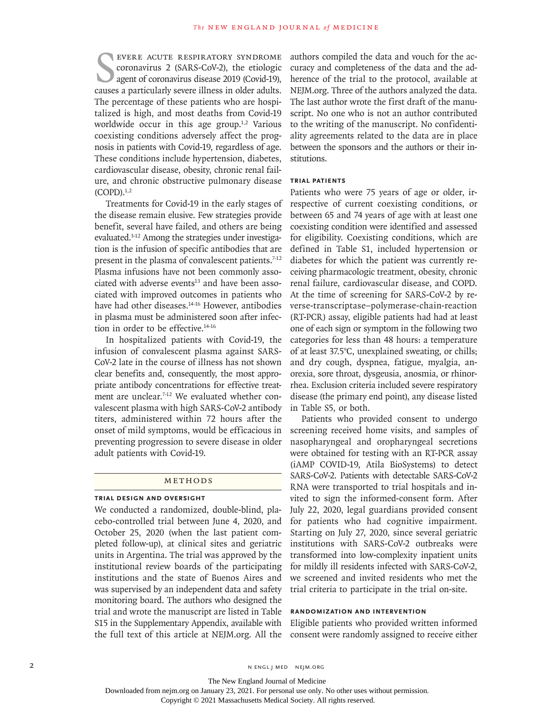EVERE ACUTE RESPIRATORY SYNDROME CORONATIONS 2 (SARS-COV-2), the etiologic agent of coronavirus disease 2019 (Covid-19), causes a particularly severe illness in older adults. evere acute respiratory syndrome coronavirus 2 (SARS-CoV-2), the etiologic agent of coronavirus disease 2019 (Covid-19), The percentage of these patients who are hospitalized is high, and most deaths from Covid-19 worldwide occur in this age group.<sup>1,2</sup> Various coexisting conditions adversely affect the prognosis in patients with Covid-19, regardless of age. These conditions include hypertension, diabetes, cardiovascular disease, obesity, chronic renal failure, and chronic obstructive pulmonary disease  $(COPD).<sup>1,2</sup>$ 

Treatments for Covid-19 in the early stages of the disease remain elusive. Few strategies provide benefit, several have failed, and others are being evaluated.3-12 Among the strategies under investigation is the infusion of specific antibodies that are present in the plasma of convalescent patients.<sup>7-12</sup> Plasma infusions have not been commonly associated with adverse events $13$  and have been associated with improved outcomes in patients who have had other diseases.<sup>14-16</sup> However, antibodies in plasma must be administered soon after infection in order to be effective.14-16

In hospitalized patients with Covid-19, the infusion of convalescent plasma against SARS-CoV-2 late in the course of illness has not shown clear benefits and, consequently, the most appropriate antibody concentrations for effective treatment are unclear.<sup>7-12</sup> We evaluated whether convalescent plasma with high SARS-CoV-2 antibody titers, administered within 72 hours after the onset of mild symptoms, would be efficacious in preventing progression to severe disease in older adult patients with Covid-19.

## Methods

#### **Trial Design and Oversight**

We conducted a randomized, double-blind, placebo-controlled trial between June 4, 2020, and October 25, 2020 (when the last patient completed follow-up), at clinical sites and geriatric units in Argentina. The trial was approved by the institutional review boards of the participating institutions and the state of Buenos Aires and was supervised by an independent data and safety monitoring board. The authors who designed the trial and wrote the manuscript are listed in Table S15 in the Supplementary Appendix, available with the full text of this article at NEJM.org. All the authors compiled the data and vouch for the accuracy and completeness of the data and the adherence of the trial to the protocol, available at NEJM.org. Three of the authors analyzed the data. The last author wrote the first draft of the manuscript. No one who is not an author contributed to the writing of the manuscript. No confidentiality agreements related to the data are in place between the sponsors and the authors or their institutions.

# **Trial Patients**

Patients who were 75 years of age or older, irrespective of current coexisting conditions, or between 65 and 74 years of age with at least one coexisting condition were identified and assessed for eligibility. Coexisting conditions, which are defined in Table S1, included hypertension or diabetes for which the patient was currently receiving pharmacologic treatment, obesity, chronic renal failure, cardiovascular disease, and COPD. At the time of screening for SARS-CoV-2 by reverse-transcriptase–polymerase-chain-reaction (RT-PCR) assay, eligible patients had had at least one of each sign or symptom in the following two categories for less than 48 hours: a temperature of at least 37.5°C, unexplained sweating, or chills; and dry cough, dyspnea, fatigue, myalgia, anorexia, sore throat, dysgeusia, anosmia, or rhinorrhea. Exclusion criteria included severe respiratory disease (the primary end point), any disease listed in Table S5, or both.

Patients who provided consent to undergo screening received home visits, and samples of nasopharyngeal and oropharyngeal secretions were obtained for testing with an RT-PCR assay (iAMP COVID-19, Atila BioSystems) to detect SARS-CoV-2. Patients with detectable SARS-CoV-2 RNA were transported to trial hospitals and invited to sign the informed-consent form. After July 22, 2020, legal guardians provided consent for patients who had cognitive impairment. Starting on July 27, 2020, since several geriatric institutions with SARS-CoV-2 outbreaks were transformed into low-complexity inpatient units for mildly ill residents infected with SARS-CoV-2, we screened and invited residents who met the trial criteria to participate in the trial on-site.

#### **Randomization and Intervention**

Eligible patients who provided written informed consent were randomly assigned to receive either

The New England Journal of Medicine

Downloaded from nejm.org on January 23, 2021. For personal use only. No other uses without permission.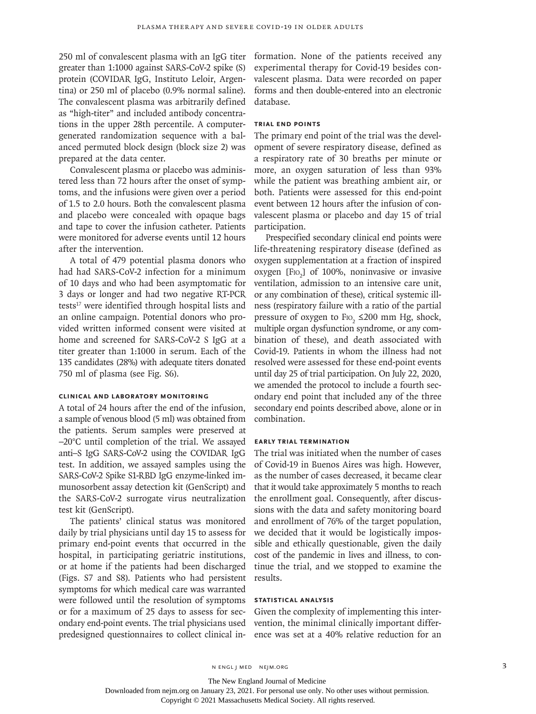250 ml of convalescent plasma with an IgG titer greater than 1:1000 against SARS-CoV-2 spike (S) protein (COVIDAR IgG, Instituto Leloir, Argentina) or 250 ml of placebo (0.9% normal saline). The convalescent plasma was arbitrarily defined as "high-titer" and included antibody concentrations in the upper 28th percentile. A computergenerated randomization sequence with a balanced permuted block design (block size 2) was prepared at the data center.

Convalescent plasma or placebo was administered less than 72 hours after the onset of symptoms, and the infusions were given over a period of 1.5 to 2.0 hours. Both the convalescent plasma and placebo were concealed with opaque bags and tape to cover the infusion catheter. Patients were monitored for adverse events until 12 hours after the intervention.

A total of 479 potential plasma donors who had had SARS-CoV-2 infection for a minimum of 10 days and who had been asymptomatic for 3 days or longer and had two negative RT-PCR tests<sup>17</sup> were identified through hospital lists and an online campaign. Potential donors who provided written informed consent were visited at home and screened for SARS-CoV-2 S IgG at a titer greater than 1:1000 in serum. Each of the 135 candidates (28%) with adequate titers donated 750 ml of plasma (see Fig. S6).

# **Clinical and Laboratory Monitoring**

A total of 24 hours after the end of the infusion, a sample of venous blood (5 ml) was obtained from the patients. Serum samples were preserved at −20°C until completion of the trial. We assayed anti–S IgG SARS-CoV-2 using the COVIDAR IgG test. In addition, we assayed samples using the SARS-CoV-2 Spike S1-RBD IgG enzyme-linked immunosorbent assay detection kit (GenScript) and the SARS-CoV-2 surrogate virus neutralization test kit (GenScript).

The patients' clinical status was monitored daily by trial physicians until day 15 to assess for primary end-point events that occurred in the hospital, in participating geriatric institutions, or at home if the patients had been discharged (Figs. S7 and S8). Patients who had persistent symptoms for which medical care was warranted were followed until the resolution of symptoms or for a maximum of 25 days to assess for secondary end-point events. The trial physicians used predesigned questionnaires to collect clinical information. None of the patients received any experimental therapy for Covid-19 besides convalescent plasma. Data were recorded on paper forms and then double-entered into an electronic database.

# **Trial End Points**

The primary end point of the trial was the development of severe respiratory disease, defined as a respiratory rate of 30 breaths per minute or more, an oxygen saturation of less than 93% while the patient was breathing ambient air, or both. Patients were assessed for this end-point event between 12 hours after the infusion of convalescent plasma or placebo and day 15 of trial participation.

Prespecified secondary clinical end points were life-threatening respiratory disease (defined as oxygen supplementation at a fraction of inspired oxygen [F<sub>IO<sub>2</sub>] of 100%, noninvasive or invasive</sub> ventilation, admission to an intensive care unit, or any combination of these), critical systemic illness (respiratory failure with a ratio of the partial pressure of oxygen to  $\text{Fro}_2 \leq 200 \text{ mm Hg}$ , shock, multiple organ dysfunction syndrome, or any combination of these), and death associated with Covid-19. Patients in whom the illness had not resolved were assessed for these end-point events until day 25 of trial participation. On July 22, 2020, we amended the protocol to include a fourth secondary end point that included any of the three secondary end points described above, alone or in combination.

#### **Early Trial Termination**

The trial was initiated when the number of cases of Covid-19 in Buenos Aires was high. However, as the number of cases decreased, it became clear that it would take approximately 5 months to reach the enrollment goal. Consequently, after discussions with the data and safety monitoring board and enrollment of 76% of the target population, we decided that it would be logistically impossible and ethically questionable, given the daily cost of the pandemic in lives and illness, to continue the trial, and we stopped to examine the results.

#### **Statistical Analysis**

Given the complexity of implementing this intervention, the minimal clinically important difference was set at a 40% relative reduction for an

The New England Journal of Medicine

Downloaded from nejm.org on January 23, 2021. For personal use only. No other uses without permission.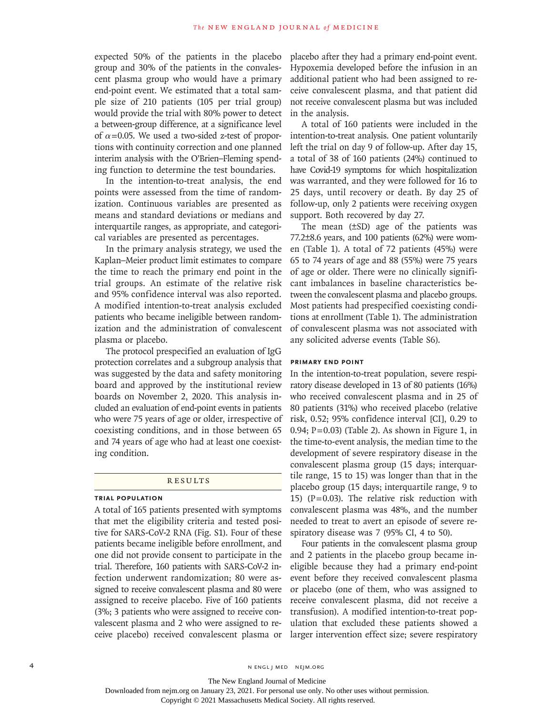expected 50% of the patients in the placebo group and 30% of the patients in the convalescent plasma group who would have a primary end-point event. We estimated that a total sample size of 210 patients (105 per trial group) would provide the trial with 80% power to detect a between-group difference, at a significance level of  $\alpha$ =0.05. We used a two-sided z-test of proportions with continuity correction and one planned interim analysis with the O'Brien–Fleming spending function to determine the test boundaries.

In the intention-to-treat analysis, the end points were assessed from the time of randomization. Continuous variables are presented as means and standard deviations or medians and interquartile ranges, as appropriate, and categorical variables are presented as percentages.

In the primary analysis strategy, we used the Kaplan–Meier product limit estimates to compare the time to reach the primary end point in the trial groups. An estimate of the relative risk and 95% confidence interval was also reported. A modified intention-to-treat analysis excluded patients who became ineligible between randomization and the administration of convalescent plasma or placebo.

The protocol prespecified an evaluation of IgG protection correlates and a subgroup analysis that was suggested by the data and safety monitoring board and approved by the institutional review boards on November 2, 2020. This analysis included an evaluation of end-point events in patients who were 75 years of age or older, irrespective of coexisting conditions, and in those between 65 and 74 years of age who had at least one coexisting condition.

#### **RESULTS**

# **Trial Population**

A total of 165 patients presented with symptoms that met the eligibility criteria and tested positive for SARS-CoV-2 RNA (Fig. S1). Four of these patients became ineligible before enrollment, and one did not provide consent to participate in the trial. Therefore, 160 patients with SARS-CoV-2 infection underwent randomization; 80 were assigned to receive convalescent plasma and 80 were assigned to receive placebo. Five of 160 patients (3%; 3 patients who were assigned to receive convalescent plasma and 2 who were assigned to receive placebo) received convalescent plasma or

placebo after they had a primary end-point event. Hypoxemia developed before the infusion in an additional patient who had been assigned to receive convalescent plasma, and that patient did not receive convalescent plasma but was included in the analysis.

A total of 160 patients were included in the intention-to-treat analysis. One patient voluntarily left the trial on day 9 of follow-up. After day 15, a total of 38 of 160 patients (24%) continued to have Covid-19 symptoms for which hospitalization was warranted, and they were followed for 16 to 25 days, until recovery or death. By day 25 of follow-up, only 2 patients were receiving oxygen support. Both recovered by day 27.

The mean (±SD) age of the patients was 77.2±8.6 years, and 100 patients (62%) were women (Table 1). A total of 72 patients (45%) were 65 to 74 years of age and 88 (55%) were 75 years of age or older. There were no clinically significant imbalances in baseline characteristics between the convalescent plasma and placebo groups. Most patients had prespecified coexisting conditions at enrollment (Table 1). The administration of convalescent plasma was not associated with any solicited adverse events (Table S6).

#### **Primary End Point**

In the intention-to-treat population, severe respiratory disease developed in 13 of 80 patients (16%) who received convalescent plasma and in 25 of 80 patients (31%) who received placebo (relative risk, 0.52; 95% confidence interval [CI], 0.29 to 0.94;  $P=0.03$ ) (Table 2). As shown in Figure 1, in the time-to-event analysis, the median time to the development of severe respiratory disease in the convalescent plasma group (15 days; interquartile range, 15 to 15) was longer than that in the placebo group (15 days; interquartile range, 9 to 15) ( $P=0.03$ ). The relative risk reduction with convalescent plasma was 48%, and the number needed to treat to avert an episode of severe respiratory disease was 7 (95% CI, 4 to 50).

Four patients in the convalescent plasma group and 2 patients in the placebo group became ineligible because they had a primary end-point event before they received convalescent plasma or placebo (one of them, who was assigned to receive convalescent plasma, did not receive a transfusion). A modified intention-to-treat population that excluded these patients showed a larger intervention effect size; severe respiratory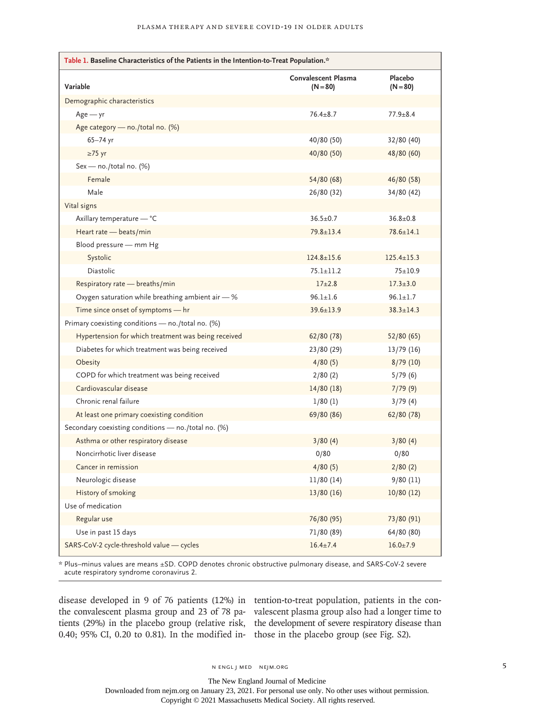| Table 1. Baseline Characteristics of the Patients in the Intention-to-Treat Population.* |                                          |                       |  |  |
|------------------------------------------------------------------------------------------|------------------------------------------|-----------------------|--|--|
| Variable                                                                                 | <b>Convalescent Plasma</b><br>$(N = 80)$ | Placebo<br>$(N = 80)$ |  |  |
| Demographic characteristics                                                              |                                          |                       |  |  |
| $Age - yr$                                                                               | $76.4 + 8.7$                             | $77.9 + 8.4$          |  |  |
| Age category - no./total no. (%)                                                         |                                          |                       |  |  |
| 65-74 yr                                                                                 | 40/80 (50)                               | 32/80 (40)            |  |  |
| $\geq$ 75 yr                                                                             | 40/80 (50)                               | 48/80 (60)            |  |  |
| Sex - no./total no. (%)                                                                  |                                          |                       |  |  |
| Female                                                                                   | 54/80 (68)                               | 46/80 (58)            |  |  |
| Male                                                                                     | 26/80 (32)                               | 34/80 (42)            |  |  |
| Vital signs                                                                              |                                          |                       |  |  |
| Axillary temperature - °C                                                                | $36.5 \pm 0.7$                           | $36.8 \pm 0.8$        |  |  |
| Heart rate - beats/min                                                                   | $79.8 \pm 13.4$                          | $78.6 \pm 14.1$       |  |  |
| Blood pressure - mm Hg                                                                   |                                          |                       |  |  |
| Systolic                                                                                 | $124.8 \pm 15.6$                         | $125.4 \pm 15.3$      |  |  |
| <b>Diastolic</b>                                                                         | $75.1 \pm 11.2$                          | $75 + 10.9$           |  |  |
| Respiratory rate - breaths/min                                                           | $17+2.8$                                 | $17.3 + 3.0$          |  |  |
| Oxygen saturation while breathing ambient air - %                                        | $96.1 \pm 1.6$                           | $96.1 \pm 1.7$        |  |  |
| Time since onset of symptoms - hr                                                        | $39.6 \pm 13.9$                          | $38.3 \pm 14.3$       |  |  |
| Primary coexisting conditions - no./total no. (%)                                        |                                          |                       |  |  |
| Hypertension for which treatment was being received                                      | 62/80 (78)                               | 52/80 (65)            |  |  |
| Diabetes for which treatment was being received                                          | 23/80 (29)                               | 13/79(16)             |  |  |
| Obesity                                                                                  | 4/80(5)                                  | 8/79(10)              |  |  |
| COPD for which treatment was being received                                              | 2/80(2)                                  | 5/79(6)               |  |  |
| Cardiovascular disease                                                                   | 14/80(18)                                | 7/79(9)               |  |  |
| Chronic renal failure                                                                    | 1/80(1)                                  | 3/79(4)               |  |  |
| At least one primary coexisting condition                                                | 69/80 (86)                               | 62/80 (78)            |  |  |
| Secondary coexisting conditions - no./total no. (%)                                      |                                          |                       |  |  |
| Asthma or other respiratory disease                                                      | 3/80(4)                                  | 3/80(4)               |  |  |
| Noncirrhotic liver disease                                                               | 0/80                                     | 0/80                  |  |  |
| Cancer in remission                                                                      | 4/80(5)                                  | 2/80(2)               |  |  |
| Neurologic disease                                                                       | 11/80 (14)                               | 9/80(11)              |  |  |
| <b>History of smoking</b>                                                                | 13/80 (16)                               | 10/80(12)             |  |  |
| Use of medication                                                                        |                                          |                       |  |  |
| Regular use                                                                              | 76/80 (95)                               | 73/80 (91)            |  |  |
| Use in past 15 days                                                                      | 71/80 (89)                               | 64/80 (80)            |  |  |
| SARS-CoV-2 cycle-threshold value - cycles                                                | $16.4 \pm 7.4$                           | $16.0 \pm 7.9$        |  |  |

\* Plus–minus values are means ±SD. COPD denotes chronic obstructive pulmonary disease, and SARS-CoV-2 severe acute respiratory syndrome coronavirus 2.

disease developed in 9 of 76 patients (12%) in tention-to-treat population, patients in the conthe convalescent plasma group and 23 of 78 pa-valescent plasma group also had a longer time to tients (29%) in the placebo group (relative risk, the development of severe respiratory disease than 0.40; 95% CI, 0.20 to 0.81). In the modified in-those in the placebo group (see Fig. S2).

The New England Journal of Medicine Downloaded from nejm.org on January 23, 2021. For personal use only. No other uses without permission.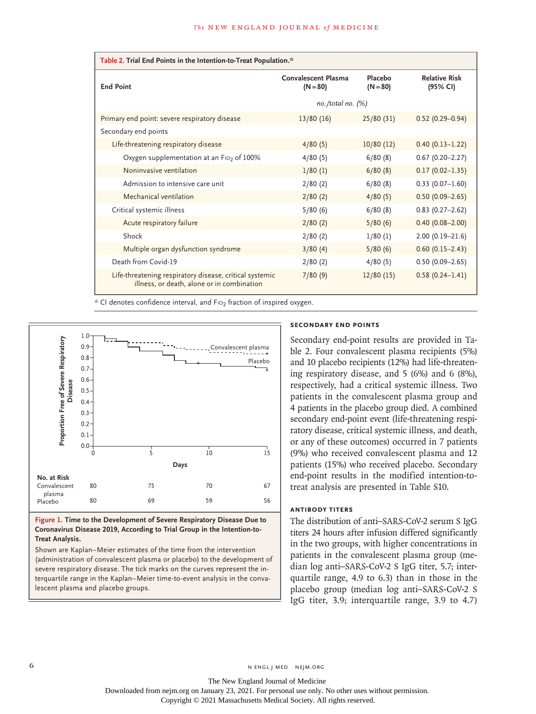| Table 2. Trial End Points in the Intention-to-Treat Population.*                                      |                                   |                       |                                  |  |  |
|-------------------------------------------------------------------------------------------------------|-----------------------------------|-----------------------|----------------------------------|--|--|
| <b>End Point</b>                                                                                      | Convalescent Plasma<br>$(N = 80)$ | Placebo<br>$(N = 80)$ | <b>Relative Risk</b><br>(95% CI) |  |  |
|                                                                                                       | $no. /total no.$ $(\%)$           |                       |                                  |  |  |
| Primary end point: severe respiratory disease                                                         | 13/80(16)                         | 25/80(31)             | $0.52(0.29 - 0.94)$              |  |  |
| Secondary end points                                                                                  |                                   |                       |                                  |  |  |
| Life-threatening respiratory disease                                                                  | 4/80(5)                           | 10/80(12)             | $0.40(0.13 - 1.22)$              |  |  |
| Oxygen supplementation at an Fio <sub>2</sub> of 100%                                                 | 4/80(5)                           | 6/80(8)               | $0.67(0.20 - 2.27)$              |  |  |
| Noninvasive ventilation                                                                               | 1/80(1)                           | 6/80(8)               | $0.17(0.02 - 1.35)$              |  |  |
| Admission to intensive care unit                                                                      | 2/80(2)                           | 6/80(8)               | $0.33(0.07-1.60)$                |  |  |
| Mechanical ventilation                                                                                | 2/80(2)                           | 4/80(5)               | $0.50(0.09 - 2.65)$              |  |  |
| Critical systemic illness                                                                             | 5/80(6)                           | 6/80(8)               | $0.83$ (0.27-2.62)               |  |  |
| Acute respiratory failure                                                                             | 2/80(2)                           | 5/80(6)               | $0.40(0.08 - 2.00)$              |  |  |
| Shock                                                                                                 | 2/80(2)                           | 1/80(1)               | $2.00(0.19 - 21.6)$              |  |  |
| Multiple organ dysfunction syndrome                                                                   | 3/80(4)                           | 5/80(6)               | $0.60(0.15 - 2.43)$              |  |  |
| Death from Covid-19                                                                                   | 2/80(2)                           | 4/80(5)               | $0.50(0.09 - 2.65)$              |  |  |
| Life-threatening respiratory disease, critical systemic<br>illness, or death, alone or in combination | 7/80(9)                           | 12/80(15)             | $0.58(0.24 - 1.41)$              |  |  |

\* CI denotes confidence interval, and F102 fraction of inspired oxygen.



**Figure 1. Time to the Development of Severe Respiratory Disease Due to Coronavirus Disease 2019, According to Trial Group in the Intention-to-Treat Analysis.**

Shown are Kaplan–Meier estimates of the time from the intervention (administration of convalescent plasma or placebo) to the development of severe respiratory disease. The tick marks on the curves represent the interquartile range in the Kaplan–Meier time-to-event analysis in the conva-

## **Secondary End Points**

Secondary end-point results are provided in Table 2. Four convalescent plasma recipients (5%) and 10 placebo recipients (12%) had life-threatening respiratory disease, and 5 (6%) and 6 (8%), respectively, had a critical systemic illness. Two patients in the convalescent plasma group and 4 patients in the placebo group died. A combined secondary end-point event (life-threatening respiratory disease, critical systemic illness, and death, or any of these outcomes) occurred in 7 patients (9%) who received convalescent plasma and 12 patients (15%) who received placebo. Secondary end-point results in the modified intention-totreat analysis are presented in Table S10.

### **Antibody Titers**

The distribution of anti–SARS-CoV-2 serum S IgG titers 24 hours after infusion differed significantly in the two groups, with higher concentrations in patients in the convalescent plasma group (median log anti–SARS-CoV-2 S IgG titer, 5.7; interquartile range, 4.9 to 6.3) than in those in the placebo group (median log anti–SARS-CoV-2 S IgG titer, 3.9; interquartile range, 3.9 to 4.7)

6 **n** engl j med nejm.org neighbors in the neutral media  $\frac{1}{2}$  media  $\frac{1}{2}$  media  $\frac{1}{2}$  media  $\frac{1}{2}$  media  $\frac{1}{2}$  media  $\frac{1}{2}$  media  $\frac{1}{2}$  media  $\frac{1}{2}$  media  $\frac{1}{2}$  media  $\frac{1}{2}$  media  $\frac{1$ 

The New England Journal of Medicine Downloaded from nejm.org on January 23, 2021. For personal use only. No other uses without permission.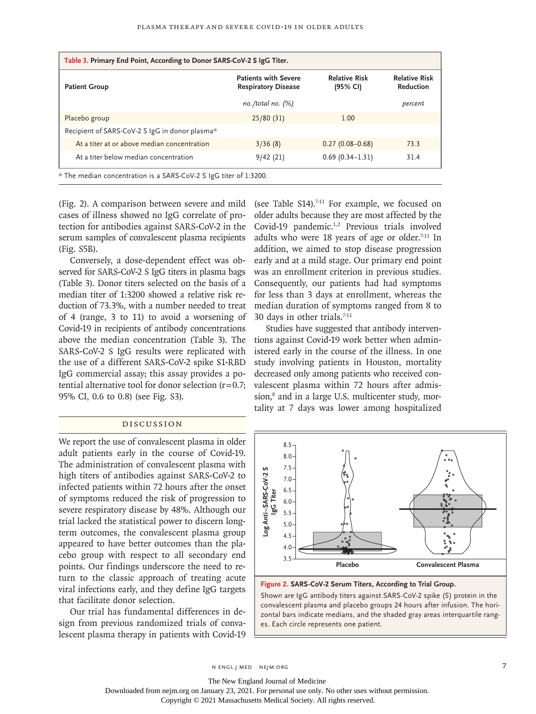| Table 3. Primary End Point, According to Donor SARS-CoV-2 S IgG Titer. |                                                           |                                  |                                          |  |
|------------------------------------------------------------------------|-----------------------------------------------------------|----------------------------------|------------------------------------------|--|
| <b>Patient Group</b>                                                   | <b>Patients with Severe</b><br><b>Respiratory Disease</b> | <b>Relative Risk</b><br>(95% CI) | <b>Relative Risk</b><br><b>Reduction</b> |  |
|                                                                        | $no. /total no.$ $(\%)$                                   |                                  | percent                                  |  |
| Placebo group                                                          | 25/80(31)                                                 | 1.00                             |                                          |  |
| Recipient of SARS-CoV-2 S IgG in donor plasma*                         |                                                           |                                  |                                          |  |
| At a titer at or above median concentration                            | 3/36(8)                                                   | $0.27(0.08 - 0.68)$              | 73.3                                     |  |
| At a titer below median concentration                                  | 9/42(21)                                                  | $0.69(0.34 - 1.31)$              | 31.4                                     |  |
| * The median concentration is a SARS-CoV-2 S IgG titer of 1:3200.      |                                                           |                                  |                                          |  |

(Fig. 2). A comparison between severe and mild cases of illness showed no IgG correlate of protection for antibodies against SARS-CoV-2 in the serum samples of convalescent plasma recipients (Fig. S5B).

Conversely, a dose-dependent effect was observed for SARS-CoV-2 S IgG titers in plasma bags (Table 3). Donor titers selected on the basis of a median titer of 1:3200 showed a relative risk reduction of 73.3%, with a number needed to treat of 4 (range, 3 to 11) to avoid a worsening of Covid-19 in recipients of antibody concentrations above the median concentration (Table 3). The SARS-CoV-2 S IgG results were replicated with the use of a different SARS-CoV-2 spike S1-RBD IgG commercial assay; this assay provides a potential alternative tool for donor selection  $(r=0.7;$ 95% CI, 0.6 to 0.8) (see Fig. S3).

#### Discussion

We report the use of convalescent plasma in older adult patients early in the course of Covid-19. The administration of convalescent plasma with high titers of antibodies against SARS-CoV-2 to infected patients within 72 hours after the onset of symptoms reduced the risk of progression to severe respiratory disease by 48%. Although our trial lacked the statistical power to discern longterm outcomes, the convalescent plasma group appeared to have better outcomes than the placebo group with respect to all secondary end points. Our findings underscore the need to return to the classic approach of treating acute viral infections early, and they define IgG targets that facilitate donor selection.

Our trial has fundamental differences in design from previous randomized trials of convalescent plasma therapy in patients with Covid-19 (see Table S14).<sup>7-11</sup> For example, we focused on older adults because they are most affected by the Covid-19 pandemic.<sup>1,2</sup> Previous trials involved adults who were 18 years of age or older. $7-11$  In addition, we aimed to stop disease progression early and at a mild stage. Our primary end point was an enrollment criterion in previous studies. Consequently, our patients had had symptoms for less than 3 days at enrollment, whereas the median duration of symptoms ranged from 8 to 30 days in other trials.<sup>7-11</sup>

Studies have suggested that antibody interventions against Covid-19 work better when administered early in the course of the illness. In one study involving patients in Houston, mortality decreased only among patients who received convalescent plasma within 72 hours after admission,<sup>8</sup> and in a large U.S. multicenter study, mortality at 7 days was lower among hospitalized



**Figure 2. SARS-CoV-2 Serum Titers, According to Trial Group.**

Shown are IgG antibody titers against SARS-CoV-2 spike (S) protein in the convalescent plasma and placebo groups 24 hours after infusion. The horizontal bars indicate medians, and the shaded gray areas interquartile rang-

n engl j med nejm.org 7

The New England Journal of Medicine

Downloaded from nejm.org on January 23, 2021. For personal use only. No other uses without permission.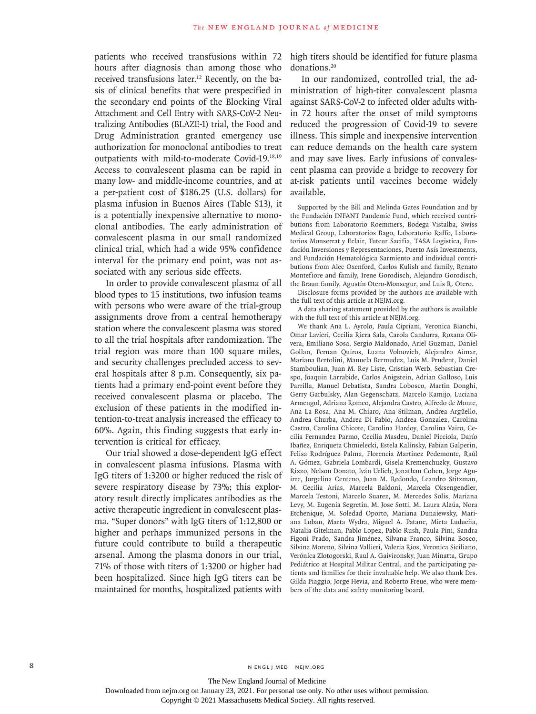patients who received transfusions within 72 hours after diagnosis than among those who received transfusions later.<sup>12</sup> Recently, on the basis of clinical benefits that were prespecified in the secondary end points of the Blocking Viral Attachment and Cell Entry with SARS-CoV-2 Neutralizing Antibodies (BLAZE-1) trial, the Food and Drug Administration granted emergency use authorization for monoclonal antibodies to treat outpatients with mild-to-moderate Covid-19.18,19 Access to convalescent plasma can be rapid in many low- and middle-income countries, and at a per-patient cost of \$186.25 (U.S. dollars) for plasma infusion in Buenos Aires (Table S13), it is a potentially inexpensive alternative to monoclonal antibodies. The early administration of convalescent plasma in our small randomized clinical trial, which had a wide 95% confidence interval for the primary end point, was not associated with any serious side effects.

In order to provide convalescent plasma of all blood types to 15 institutions, two infusion teams with persons who were aware of the trial-group assignments drove from a central hemotherapy station where the convalescent plasma was stored to all the trial hospitals after randomization. The trial region was more than 100 square miles, and security challenges precluded access to several hospitals after 8 p.m. Consequently, six patients had a primary end-point event before they received convalescent plasma or placebo. The exclusion of these patients in the modified intention-to-treat analysis increased the efficacy to 60%. Again, this finding suggests that early intervention is critical for efficacy.

Our trial showed a dose-dependent IgG effect in convalescent plasma infusions. Plasma with IgG titers of 1:3200 or higher reduced the risk of severe respiratory disease by 73%; this exploratory result directly implicates antibodies as the active therapeutic ingredient in convalescent plasma. "Super donors" with IgG titers of 1:12,800 or higher and perhaps immunized persons in the future could contribute to build a therapeutic arsenal. Among the plasma donors in our trial, 71% of those with titers of 1:3200 or higher had been hospitalized. Since high IgG titers can be maintained for months, hospitalized patients with

high titers should be identified for future plasma donations.20

In our randomized, controlled trial, the administration of high-titer convalescent plasma against SARS-CoV-2 to infected older adults within 72 hours after the onset of mild symptoms reduced the progression of Covid-19 to severe illness. This simple and inexpensive intervention can reduce demands on the health care system and may save lives. Early infusions of convalescent plasma can provide a bridge to recovery for at-risk patients until vaccines become widely available.

Supported by the Bill and Melinda Gates Foundation and by the Fundación INFANT Pandemic Fund, which received contributions from Laboratorio Roemmers, Bodega Vistalba, Swiss Medical Group, Laboratorios Bago, Laboratorio Raffo, Laboratorios Monserrat y Eclair, Tuteur Sacifia, TASA Logistica, Fundación Inversiones y Representaciones, Puerto Asís Investments, and Fundación Hematológica Sarmiento and individual contributions from Alec Oxenford, Carlos Kulish and family, Renato Montefiore and family, Irene Gorodisch, Alejandro Gorodisch, the Braun family, Agustín Otero-Monsegur, and Luis R. Otero.

Disclosure forms provided by the authors are available with the full text of this article at NEJM.org.

A data sharing statement provided by the authors is available with the full text of this article at NEJM.org.

We thank Ana L. Ayrolo, Paula Cipriani, Veronica Bianchi, Omar Lavieri, Cecilia Riera Sala, Carola Candurra, Roxana Olivera, Emiliano Sosa, Sergio Maldonado, Ariel Guzman, Daniel Gollan, Fernan Quiros, Luana Volnovich, Alejandro Aimar, Mariana Bertolini, Manuela Bermudez, Luis M. Prudent, Daniel Stamboulian, Juan M. Rey Liste, Cristian Werb, Sebastian Crespo, Joaquin Larrabide, Carlos Anigstein, Adrian Galloso, Luis Parrilla, Manuel Debatista, Sandra Lobosco, Martin Donghi, Gerry Garbulsky, Alan Gegenschatz, Marcelo Kamijo, Luciana Armengol, Adriana Romeo, Alejandra Castro, Alfredo de Monte, Ana La Rosa, Ana M. Chiaro, Ana Stilman, Andrea Argüello, Andrea Churba, Andrea Di Fabio, Andrea Gonzalez, Carolina Castro, Carolina Chicote, Carolina Hardoy, Carolina Vairo, Cecilia Fernandez Parmo, Cecilia Masdeu, Daniel Picciola, Darío Ibañez, Enriqueta Chmielecki, Estela Kalinsky, Fabian Galperin, Felisa Rodríguez Palma, Florencia Martinez Pedemonte, Raúl A. Gómez, Gabriela Lombardi, Gisela Kremenchuzky, Gustavo Rizzo, Nelson Donato, Iván Urlich, Jonathan Cohen, Jorge Aguirre, Jorgelina Centeno, Juan M. Redondo, Leandro Stitzman, M. Cecilia Arias, Marcela Baldoni, Marcela Oksengendler, Marcela Testoni, Marcelo Suarez, M. Mercedes Solis, Mariana Levy, M. Eugenia Segretin, M. Jose Sotti, M. Laura Alzúa, Nora Etchenique, M. Soledad Oporto, Mariana Dunaiewsky, Mariana Loban, Marta Wydra, Miguel A. Patane, Mirta Ludueña, Natalia Gitelman, Pablo Lopez, Pablo Rush, Paula Pini, Sandra Figoni Prado, Sandra Jiménez, Silvana Franco, Silvina Bosco, Silvina Moreno, Silvina Vallieri, Valeria Rios, Veronica Siciliano, Verónica Zlotogorski, Raul A. Gaivironsky, Juan Minatta, Grupo Pediátrico at Hospital Militar Central, and the participating patients and families for their invaluable help. We also thank Drs. Gilda Piaggio, Jorge Hevia, and Roberto Freue, who were members of the data and safety monitoring board.

The New England Journal of Medicine

Downloaded from nejm.org on January 23, 2021. For personal use only. No other uses without permission.